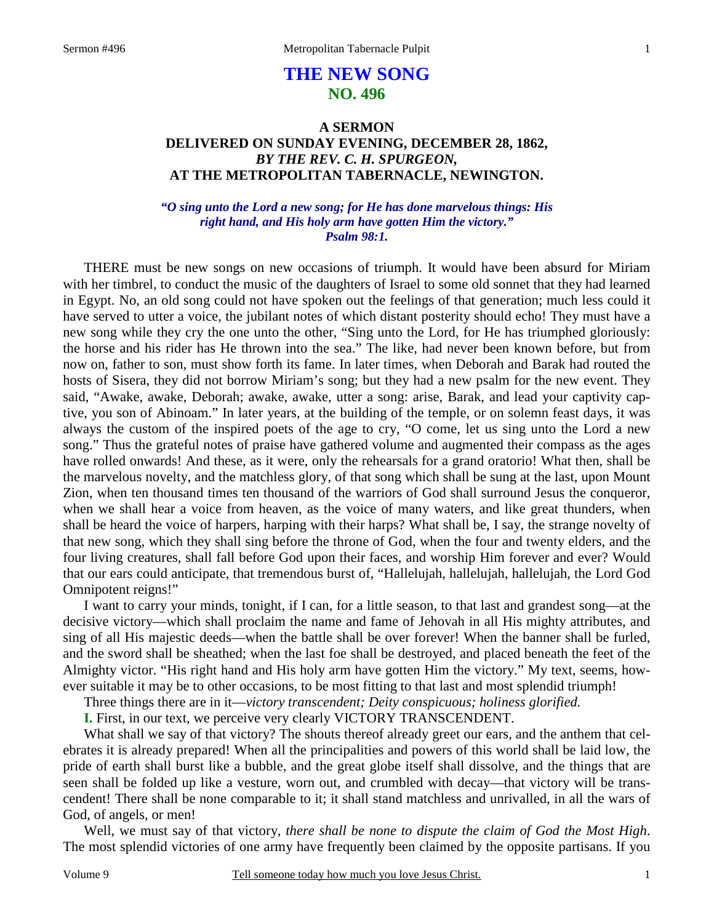# **THE NEW SONG NO. 496**

## **A SERMON DELIVERED ON SUNDAY EVENING, DECEMBER 28, 1862,**  *BY THE REV. C. H. SPURGEON,*  **AT THE METROPOLITAN TABERNACLE, NEWINGTON.**

### *"O sing unto the Lord a new song; for He has done marvelous things: His right hand, and His holy arm have gotten Him the victory." Psalm 98:1.*

THERE must be new songs on new occasions of triumph. It would have been absurd for Miriam with her timbrel, to conduct the music of the daughters of Israel to some old sonnet that they had learned in Egypt. No, an old song could not have spoken out the feelings of that generation; much less could it have served to utter a voice, the jubilant notes of which distant posterity should echo! They must have a new song while they cry the one unto the other, "Sing unto the Lord, for He has triumphed gloriously: the horse and his rider has He thrown into the sea." The like, had never been known before, but from now on, father to son, must show forth its fame. In later times, when Deborah and Barak had routed the hosts of Sisera, they did not borrow Miriam's song; but they had a new psalm for the new event. They said, "Awake, awake, Deborah; awake, awake, utter a song: arise, Barak, and lead your captivity captive, you son of Abinoam." In later years, at the building of the temple, or on solemn feast days, it was always the custom of the inspired poets of the age to cry, "O come, let us sing unto the Lord a new song." Thus the grateful notes of praise have gathered volume and augmented their compass as the ages have rolled onwards! And these, as it were, only the rehearsals for a grand oratorio! What then, shall be the marvelous novelty, and the matchless glory, of that song which shall be sung at the last, upon Mount Zion, when ten thousand times ten thousand of the warriors of God shall surround Jesus the conqueror, when we shall hear a voice from heaven, as the voice of many waters, and like great thunders, when shall be heard the voice of harpers, harping with their harps? What shall be, I say, the strange novelty of that new song, which they shall sing before the throne of God, when the four and twenty elders, and the four living creatures, shall fall before God upon their faces, and worship Him forever and ever? Would that our ears could anticipate, that tremendous burst of, "Hallelujah, hallelujah, hallelujah, the Lord God Omnipotent reigns!"

I want to carry your minds, tonight, if I can, for a little season, to that last and grandest song—at the decisive victory—which shall proclaim the name and fame of Jehovah in all His mighty attributes, and sing of all His majestic deeds—when the battle shall be over forever! When the banner shall be furled, and the sword shall be sheathed; when the last foe shall be destroyed, and placed beneath the feet of the Almighty victor. "His right hand and His holy arm have gotten Him the victory." My text, seems, however suitable it may be to other occasions, to be most fitting to that last and most splendid triumph!

Three things there are in it—*victory transcendent; Deity conspicuous; holiness glorified.* 

**I.** First, in our text, we perceive very clearly VICTORY TRANSCENDENT.

What shall we say of that victory? The shouts thereof already greet our ears, and the anthem that celebrates it is already prepared! When all the principalities and powers of this world shall be laid low, the pride of earth shall burst like a bubble, and the great globe itself shall dissolve, and the things that are seen shall be folded up like a vesture, worn out, and crumbled with decay—that victory will be transcendent! There shall be none comparable to it; it shall stand matchless and unrivalled, in all the wars of God, of angels, or men!

Well, we must say of that victory, *there shall be none to dispute the claim of God the Most High*. The most splendid victories of one army have frequently been claimed by the opposite partisans. If you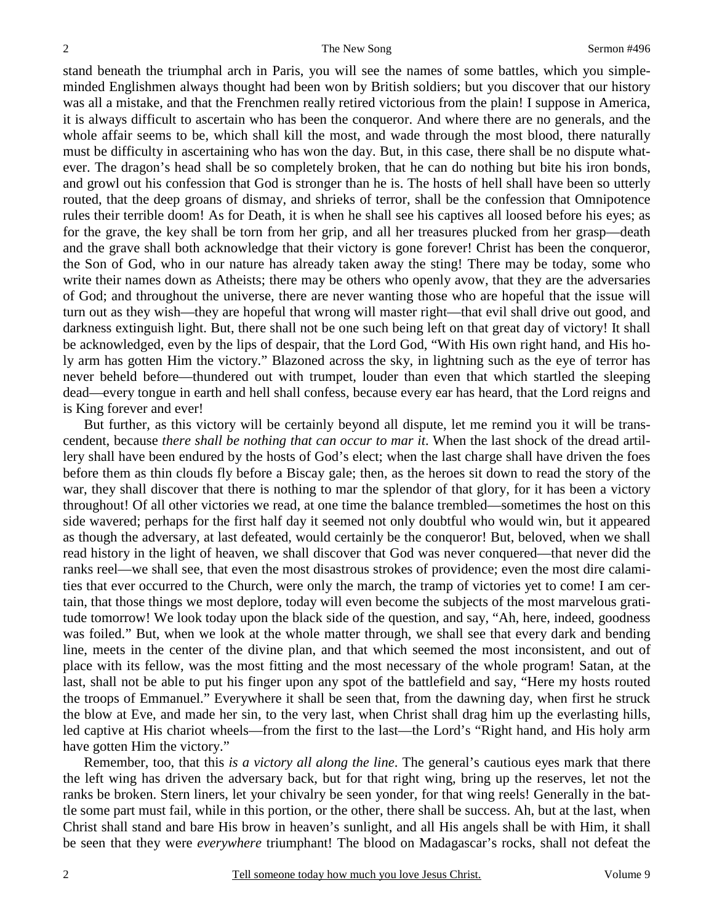stand beneath the triumphal arch in Paris, you will see the names of some battles, which you simpleminded Englishmen always thought had been won by British soldiers; but you discover that our history was all a mistake, and that the Frenchmen really retired victorious from the plain! I suppose in America, it is always difficult to ascertain who has been the conqueror. And where there are no generals, and the whole affair seems to be, which shall kill the most, and wade through the most blood, there naturally must be difficulty in ascertaining who has won the day. But, in this case, there shall be no dispute whatever. The dragon's head shall be so completely broken, that he can do nothing but bite his iron bonds, and growl out his confession that God is stronger than he is. The hosts of hell shall have been so utterly routed, that the deep groans of dismay, and shrieks of terror, shall be the confession that Omnipotence rules their terrible doom! As for Death, it is when he shall see his captives all loosed before his eyes; as for the grave, the key shall be torn from her grip, and all her treasures plucked from her grasp—death and the grave shall both acknowledge that their victory is gone forever! Christ has been the conqueror, the Son of God, who in our nature has already taken away the sting! There may be today, some who write their names down as Atheists; there may be others who openly avow, that they are the adversaries of God; and throughout the universe, there are never wanting those who are hopeful that the issue will turn out as they wish—they are hopeful that wrong will master right—that evil shall drive out good, and darkness extinguish light. But, there shall not be one such being left on that great day of victory! It shall be acknowledged, even by the lips of despair, that the Lord God, "With His own right hand, and His holy arm has gotten Him the victory." Blazoned across the sky, in lightning such as the eye of terror has never beheld before—thundered out with trumpet, louder than even that which startled the sleeping dead—every tongue in earth and hell shall confess, because every ear has heard, that the Lord reigns and is King forever and ever!

But further, as this victory will be certainly beyond all dispute, let me remind you it will be transcendent, because *there shall be nothing that can occur to mar it*. When the last shock of the dread artillery shall have been endured by the hosts of God's elect; when the last charge shall have driven the foes before them as thin clouds fly before a Biscay gale; then, as the heroes sit down to read the story of the war, they shall discover that there is nothing to mar the splendor of that glory, for it has been a victory throughout! Of all other victories we read, at one time the balance trembled—sometimes the host on this side wavered; perhaps for the first half day it seemed not only doubtful who would win, but it appeared as though the adversary, at last defeated, would certainly be the conqueror! But, beloved, when we shall read history in the light of heaven, we shall discover that God was never conquered—that never did the ranks reel—we shall see, that even the most disastrous strokes of providence; even the most dire calamities that ever occurred to the Church, were only the march, the tramp of victories yet to come! I am certain, that those things we most deplore, today will even become the subjects of the most marvelous gratitude tomorrow! We look today upon the black side of the question, and say, "Ah, here, indeed, goodness was foiled." But, when we look at the whole matter through, we shall see that every dark and bending line, meets in the center of the divine plan, and that which seemed the most inconsistent, and out of place with its fellow, was the most fitting and the most necessary of the whole program! Satan, at the last, shall not be able to put his finger upon any spot of the battlefield and say, "Here my hosts routed the troops of Emmanuel." Everywhere it shall be seen that, from the dawning day, when first he struck the blow at Eve, and made her sin, to the very last, when Christ shall drag him up the everlasting hills, led captive at His chariot wheels—from the first to the last—the Lord's "Right hand, and His holy arm have gotten Him the victory."

Remember, too, that this *is a victory all along the line*. The general's cautious eyes mark that there the left wing has driven the adversary back, but for that right wing, bring up the reserves, let not the ranks be broken. Stern liners, let your chivalry be seen yonder, for that wing reels! Generally in the battle some part must fail, while in this portion, or the other, there shall be success. Ah, but at the last, when Christ shall stand and bare His brow in heaven's sunlight, and all His angels shall be with Him, it shall be seen that they were *everywhere* triumphant! The blood on Madagascar's rocks, shall not defeat the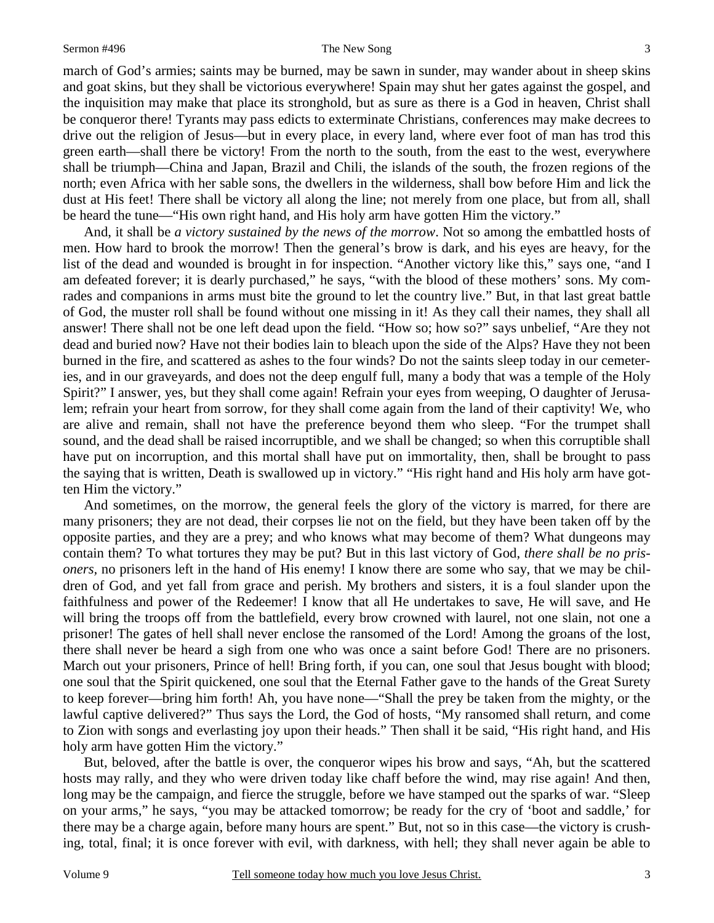#### Sermon #496 The New Song

march of God's armies; saints may be burned, may be sawn in sunder, may wander about in sheep skins and goat skins, but they shall be victorious everywhere! Spain may shut her gates against the gospel, and the inquisition may make that place its stronghold, but as sure as there is a God in heaven, Christ shall be conqueror there! Tyrants may pass edicts to exterminate Christians, conferences may make decrees to drive out the religion of Jesus—but in every place, in every land, where ever foot of man has trod this green earth—shall there be victory! From the north to the south, from the east to the west, everywhere shall be triumph—China and Japan, Brazil and Chili, the islands of the south, the frozen regions of the north; even Africa with her sable sons, the dwellers in the wilderness, shall bow before Him and lick the dust at His feet! There shall be victory all along the line; not merely from one place, but from all, shall be heard the tune—"His own right hand, and His holy arm have gotten Him the victory."

And, it shall be *a victory sustained by the news of the morrow*. Not so among the embattled hosts of men. How hard to brook the morrow! Then the general's brow is dark, and his eyes are heavy, for the list of the dead and wounded is brought in for inspection. "Another victory like this," says one, "and I am defeated forever; it is dearly purchased," he says, "with the blood of these mothers' sons. My comrades and companions in arms must bite the ground to let the country live." But, in that last great battle of God, the muster roll shall be found without one missing in it! As they call their names, they shall all answer! There shall not be one left dead upon the field. "How so; how so?" says unbelief, "Are they not dead and buried now? Have not their bodies lain to bleach upon the side of the Alps? Have they not been burned in the fire, and scattered as ashes to the four winds? Do not the saints sleep today in our cemeteries, and in our graveyards, and does not the deep engulf full, many a body that was a temple of the Holy Spirit?" I answer, yes, but they shall come again! Refrain your eyes from weeping, O daughter of Jerusalem; refrain your heart from sorrow, for they shall come again from the land of their captivity! We, who are alive and remain, shall not have the preference beyond them who sleep. "For the trumpet shall sound, and the dead shall be raised incorruptible, and we shall be changed; so when this corruptible shall have put on incorruption, and this mortal shall have put on immortality, then, shall be brought to pass the saying that is written, Death is swallowed up in victory." "His right hand and His holy arm have gotten Him the victory."

And sometimes, on the morrow, the general feels the glory of the victory is marred, for there are many prisoners; they are not dead, their corpses lie not on the field, but they have been taken off by the opposite parties, and they are a prey; and who knows what may become of them? What dungeons may contain them? To what tortures they may be put? But in this last victory of God, *there shall be no prisoners*, no prisoners left in the hand of His enemy! I know there are some who say, that we may be children of God, and yet fall from grace and perish. My brothers and sisters, it is a foul slander upon the faithfulness and power of the Redeemer! I know that all He undertakes to save, He will save, and He will bring the troops off from the battlefield, every brow crowned with laurel, not one slain, not one a prisoner! The gates of hell shall never enclose the ransomed of the Lord! Among the groans of the lost, there shall never be heard a sigh from one who was once a saint before God! There are no prisoners. March out your prisoners, Prince of hell! Bring forth, if you can, one soul that Jesus bought with blood; one soul that the Spirit quickened, one soul that the Eternal Father gave to the hands of the Great Surety to keep forever—bring him forth! Ah, you have none—"Shall the prey be taken from the mighty, or the lawful captive delivered?" Thus says the Lord, the God of hosts, "My ransomed shall return, and come to Zion with songs and everlasting joy upon their heads." Then shall it be said, "His right hand, and His holy arm have gotten Him the victory."

But, beloved, after the battle is over, the conqueror wipes his brow and says, "Ah, but the scattered hosts may rally, and they who were driven today like chaff before the wind, may rise again! And then, long may be the campaign, and fierce the struggle, before we have stamped out the sparks of war. "Sleep on your arms," he says, "you may be attacked tomorrow; be ready for the cry of 'boot and saddle,' for there may be a charge again, before many hours are spent." But, not so in this case—the victory is crushing, total, final; it is once forever with evil, with darkness, with hell; they shall never again be able to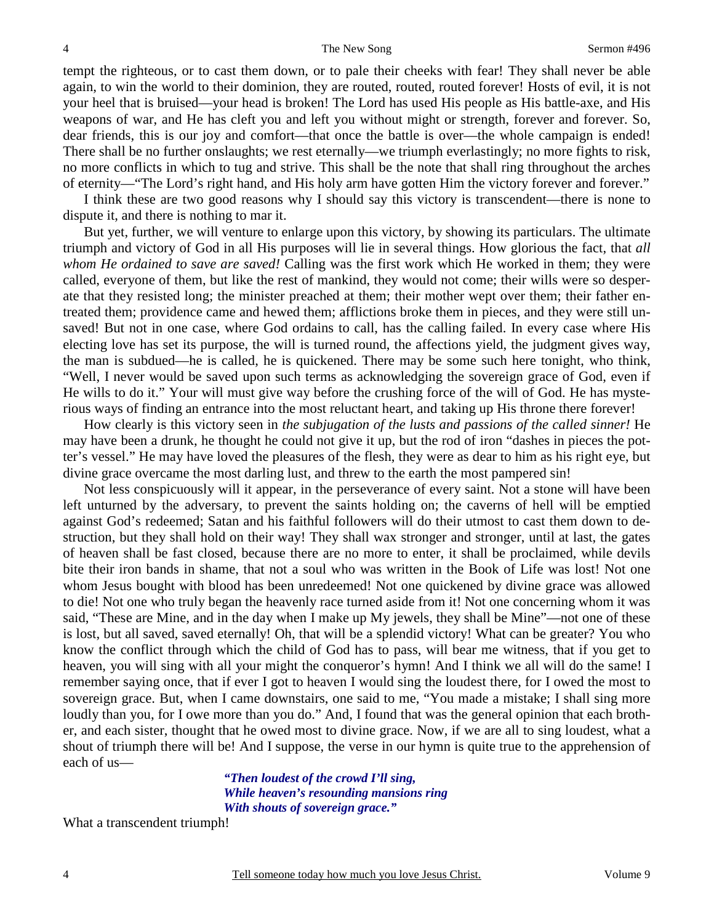tempt the righteous, or to cast them down, or to pale their cheeks with fear! They shall never be able again, to win the world to their dominion, they are routed, routed, routed forever! Hosts of evil, it is not your heel that is bruised—your head is broken! The Lord has used His people as His battle-axe, and His weapons of war, and He has cleft you and left you without might or strength, forever and forever. So, dear friends, this is our joy and comfort—that once the battle is over—the whole campaign is ended! There shall be no further onslaughts; we rest eternally—we triumph everlastingly; no more fights to risk, no more conflicts in which to tug and strive. This shall be the note that shall ring throughout the arches of eternity—"The Lord's right hand, and His holy arm have gotten Him the victory forever and forever."

I think these are two good reasons why I should say this victory is transcendent—there is none to dispute it, and there is nothing to mar it.

But yet, further, we will venture to enlarge upon this victory, by showing its particulars. The ultimate triumph and victory of God in all His purposes will lie in several things. How glorious the fact, that *all whom He ordained to save are saved!* Calling was the first work which He worked in them; they were called, everyone of them, but like the rest of mankind, they would not come; their wills were so desperate that they resisted long; the minister preached at them; their mother wept over them; their father entreated them; providence came and hewed them; afflictions broke them in pieces, and they were still unsaved! But not in one case, where God ordains to call, has the calling failed. In every case where His electing love has set its purpose, the will is turned round, the affections yield, the judgment gives way, the man is subdued—he is called, he is quickened. There may be some such here tonight, who think, "Well, I never would be saved upon such terms as acknowledging the sovereign grace of God, even if He wills to do it." Your will must give way before the crushing force of the will of God. He has mysterious ways of finding an entrance into the most reluctant heart, and taking up His throne there forever!

How clearly is this victory seen in *the subjugation of the lusts and passions of the called sinner!* He may have been a drunk, he thought he could not give it up, but the rod of iron "dashes in pieces the potter's vessel." He may have loved the pleasures of the flesh, they were as dear to him as his right eye, but divine grace overcame the most darling lust, and threw to the earth the most pampered sin!

Not less conspicuously will it appear, in the perseverance of every saint. Not a stone will have been left unturned by the adversary, to prevent the saints holding on; the caverns of hell will be emptied against God's redeemed; Satan and his faithful followers will do their utmost to cast them down to destruction, but they shall hold on their way! They shall wax stronger and stronger, until at last, the gates of heaven shall be fast closed, because there are no more to enter, it shall be proclaimed, while devils bite their iron bands in shame, that not a soul who was written in the Book of Life was lost! Not one whom Jesus bought with blood has been unredeemed! Not one quickened by divine grace was allowed to die! Not one who truly began the heavenly race turned aside from it! Not one concerning whom it was said, "These are Mine, and in the day when I make up My jewels, they shall be Mine"—not one of these is lost, but all saved, saved eternally! Oh, that will be a splendid victory! What can be greater? You who know the conflict through which the child of God has to pass, will bear me witness, that if you get to heaven, you will sing with all your might the conqueror's hymn! And I think we all will do the same! I remember saying once, that if ever I got to heaven I would sing the loudest there, for I owed the most to sovereign grace. But, when I came downstairs, one said to me, "You made a mistake; I shall sing more loudly than you, for I owe more than you do." And, I found that was the general opinion that each brother, and each sister, thought that he owed most to divine grace. Now, if we are all to sing loudest, what a shout of triumph there will be! And I suppose, the verse in our hymn is quite true to the apprehension of each of us—

> *"Then loudest of the crowd I'll sing, While heaven's resounding mansions ring With shouts of sovereign grace."*

What a transcendent triumph!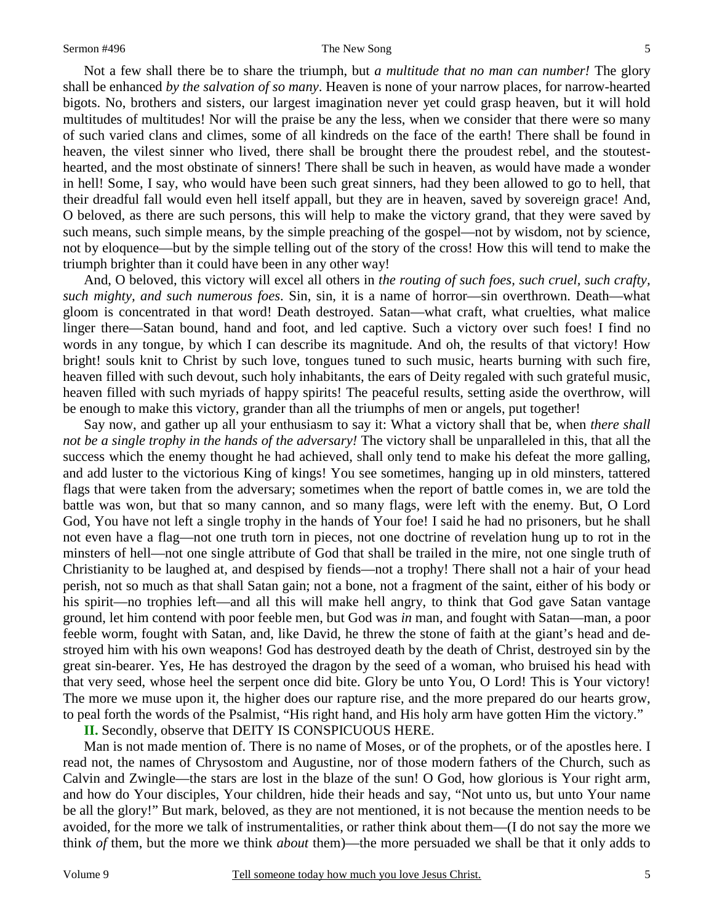Not a few shall there be to share the triumph, but *a multitude that no man can number!* The glory shall be enhanced *by the salvation of so many*. Heaven is none of your narrow places, for narrow-hearted bigots. No, brothers and sisters, our largest imagination never yet could grasp heaven, but it will hold multitudes of multitudes! Nor will the praise be any the less, when we consider that there were so many of such varied clans and climes, some of all kindreds on the face of the earth! There shall be found in heaven, the vilest sinner who lived, there shall be brought there the proudest rebel, and the stoutesthearted, and the most obstinate of sinners! There shall be such in heaven, as would have made a wonder in hell! Some, I say, who would have been such great sinners, had they been allowed to go to hell, that their dreadful fall would even hell itself appall, but they are in heaven, saved by sovereign grace! And, O beloved, as there are such persons, this will help to make the victory grand, that they were saved by such means, such simple means, by the simple preaching of the gospel—not by wisdom, not by science, not by eloquence—but by the simple telling out of the story of the cross! How this will tend to make the triumph brighter than it could have been in any other way!

And, O beloved, this victory will excel all others in *the routing of such foes, such cruel, such crafty, such mighty, and such numerous foes*. Sin, sin, it is a name of horror—sin overthrown. Death—what gloom is concentrated in that word! Death destroyed. Satan—what craft, what cruelties, what malice linger there—Satan bound, hand and foot, and led captive. Such a victory over such foes! I find no words in any tongue, by which I can describe its magnitude. And oh, the results of that victory! How bright! souls knit to Christ by such love, tongues tuned to such music, hearts burning with such fire, heaven filled with such devout, such holy inhabitants, the ears of Deity regaled with such grateful music, heaven filled with such myriads of happy spirits! The peaceful results, setting aside the overthrow, will be enough to make this victory, grander than all the triumphs of men or angels, put together!

Say now, and gather up all your enthusiasm to say it: What a victory shall that be, when *there shall not be a single trophy in the hands of the adversary!* The victory shall be unparalleled in this, that all the success which the enemy thought he had achieved, shall only tend to make his defeat the more galling, and add luster to the victorious King of kings! You see sometimes, hanging up in old minsters, tattered flags that were taken from the adversary; sometimes when the report of battle comes in, we are told the battle was won, but that so many cannon, and so many flags, were left with the enemy. But, O Lord God, You have not left a single trophy in the hands of Your foe! I said he had no prisoners, but he shall not even have a flag—not one truth torn in pieces, not one doctrine of revelation hung up to rot in the minsters of hell—not one single attribute of God that shall be trailed in the mire, not one single truth of Christianity to be laughed at, and despised by fiends—not a trophy! There shall not a hair of your head perish, not so much as that shall Satan gain; not a bone, not a fragment of the saint, either of his body or his spirit—no trophies left—and all this will make hell angry, to think that God gave Satan vantage ground, let him contend with poor feeble men, but God was *in* man, and fought with Satan—man, a poor feeble worm, fought with Satan, and, like David, he threw the stone of faith at the giant's head and destroyed him with his own weapons! God has destroyed death by the death of Christ, destroyed sin by the great sin-bearer. Yes, He has destroyed the dragon by the seed of a woman, who bruised his head with that very seed, whose heel the serpent once did bite. Glory be unto You, O Lord! This is Your victory! The more we muse upon it, the higher does our rapture rise, and the more prepared do our hearts grow, to peal forth the words of the Psalmist, "His right hand, and His holy arm have gotten Him the victory."

**II.** Secondly, observe that DEITY IS CONSPICUOUS HERE.

Man is not made mention of. There is no name of Moses, or of the prophets, or of the apostles here. I read not, the names of Chrysostom and Augustine, nor of those modern fathers of the Church, such as Calvin and Zwingle—the stars are lost in the blaze of the sun! O God, how glorious is Your right arm, and how do Your disciples, Your children, hide their heads and say, "Not unto us, but unto Your name be all the glory!" But mark, beloved, as they are not mentioned, it is not because the mention needs to be avoided, for the more we talk of instrumentalities, or rather think about them—(I do not say the more we think *of* them, but the more we think *about* them)—the more persuaded we shall be that it only adds to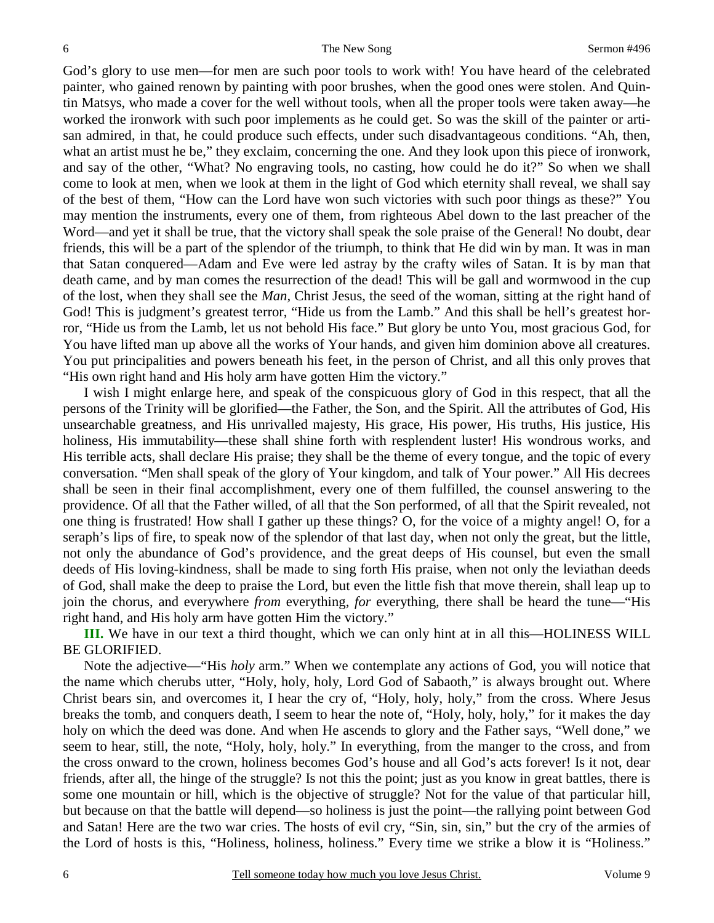God's glory to use men—for men are such poor tools to work with! You have heard of the celebrated painter, who gained renown by painting with poor brushes, when the good ones were stolen. And Quintin Matsys, who made a cover for the well without tools, when all the proper tools were taken away—he worked the ironwork with such poor implements as he could get. So was the skill of the painter or artisan admired, in that, he could produce such effects, under such disadvantageous conditions. "Ah, then, what an artist must he be," they exclaim, concerning the one. And they look upon this piece of ironwork, and say of the other, "What? No engraving tools, no casting, how could he do it?" So when we shall come to look at men, when we look at them in the light of God which eternity shall reveal, we shall say of the best of them, "How can the Lord have won such victories with such poor things as these?" You may mention the instruments, every one of them, from righteous Abel down to the last preacher of the Word—and yet it shall be true, that the victory shall speak the sole praise of the General! No doubt, dear friends, this will be a part of the splendor of the triumph, to think that He did win by man. It was in man that Satan conquered—Adam and Eve were led astray by the crafty wiles of Satan. It is by man that death came, and by man comes the resurrection of the dead! This will be gall and wormwood in the cup of the lost, when they shall see the *Man,* Christ Jesus, the seed of the woman, sitting at the right hand of God! This is judgment's greatest terror, "Hide us from the Lamb." And this shall be hell's greatest horror, "Hide us from the Lamb, let us not behold His face." But glory be unto You, most gracious God, for You have lifted man up above all the works of Your hands, and given him dominion above all creatures. You put principalities and powers beneath his feet, in the person of Christ, and all this only proves that "His own right hand and His holy arm have gotten Him the victory."

I wish I might enlarge here, and speak of the conspicuous glory of God in this respect, that all the persons of the Trinity will be glorified—the Father, the Son, and the Spirit. All the attributes of God, His unsearchable greatness, and His unrivalled majesty, His grace, His power, His truths, His justice, His holiness, His immutability—these shall shine forth with resplendent luster! His wondrous works, and His terrible acts, shall declare His praise; they shall be the theme of every tongue, and the topic of every conversation. "Men shall speak of the glory of Your kingdom, and talk of Your power." All His decrees shall be seen in their final accomplishment, every one of them fulfilled, the counsel answering to the providence. Of all that the Father willed, of all that the Son performed, of all that the Spirit revealed, not one thing is frustrated! How shall I gather up these things? O, for the voice of a mighty angel! O, for a seraph's lips of fire, to speak now of the splendor of that last day, when not only the great, but the little, not only the abundance of God's providence, and the great deeps of His counsel, but even the small deeds of His loving-kindness, shall be made to sing forth His praise, when not only the leviathan deeds of God, shall make the deep to praise the Lord, but even the little fish that move therein, shall leap up to join the chorus, and everywhere *from* everything, *for* everything, there shall be heard the tune—"His right hand, and His holy arm have gotten Him the victory."

**III.** We have in our text a third thought, which we can only hint at in all this—HOLINESS WILL BE GLORIFIED.

Note the adjective—"His *holy* arm." When we contemplate any actions of God, you will notice that the name which cherubs utter, "Holy, holy, holy, Lord God of Sabaoth," is always brought out. Where Christ bears sin, and overcomes it, I hear the cry of, "Holy, holy, holy," from the cross. Where Jesus breaks the tomb, and conquers death, I seem to hear the note of, "Holy, holy, holy," for it makes the day holy on which the deed was done. And when He ascends to glory and the Father says, "Well done," we seem to hear, still, the note, "Holy, holy, holy." In everything, from the manger to the cross, and from the cross onward to the crown, holiness becomes God's house and all God's acts forever! Is it not, dear friends, after all, the hinge of the struggle? Is not this the point; just as you know in great battles, there is some one mountain or hill, which is the objective of struggle? Not for the value of that particular hill, but because on that the battle will depend—so holiness is just the point—the rallying point between God and Satan! Here are the two war cries. The hosts of evil cry, "Sin, sin, sin," but the cry of the armies of the Lord of hosts is this, "Holiness, holiness, holiness." Every time we strike a blow it is "Holiness."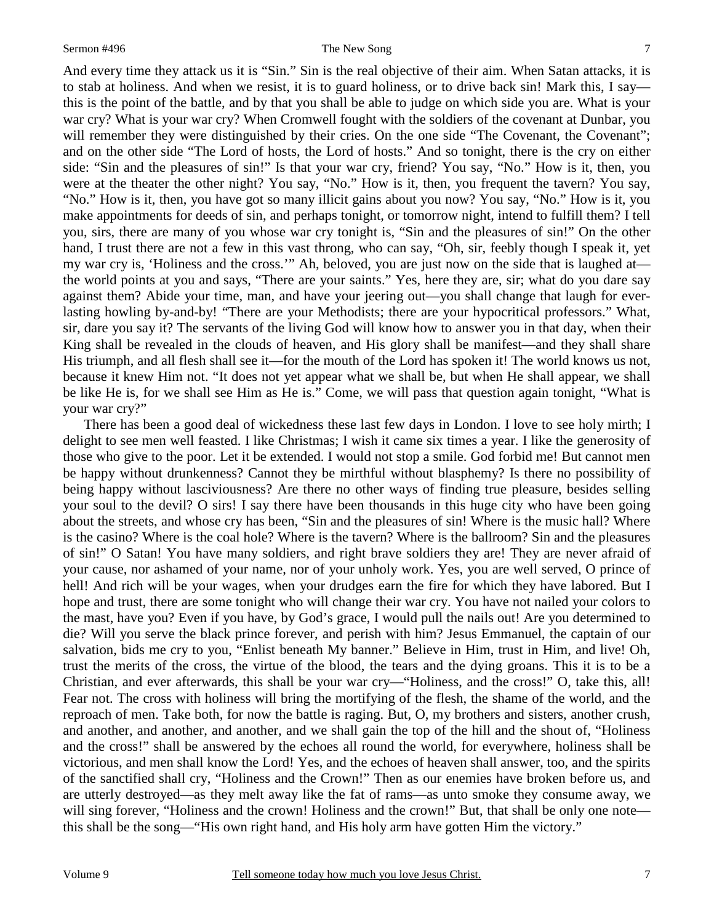#### Sermon #496 The New Song

And every time they attack us it is "Sin." Sin is the real objective of their aim. When Satan attacks, it is to stab at holiness. And when we resist, it is to guard holiness, or to drive back sin! Mark this, I say this is the point of the battle, and by that you shall be able to judge on which side you are. What is your war cry? What is your war cry? When Cromwell fought with the soldiers of the covenant at Dunbar, you will remember they were distinguished by their cries. On the one side "The Covenant, the Covenant"; and on the other side "The Lord of hosts, the Lord of hosts." And so tonight, there is the cry on either side: "Sin and the pleasures of sin!" Is that your war cry, friend? You say, "No." How is it, then, you were at the theater the other night? You say, "No." How is it, then, you frequent the tavern? You say, "No." How is it, then, you have got so many illicit gains about you now? You say, "No." How is it, you make appointments for deeds of sin, and perhaps tonight, or tomorrow night, intend to fulfill them? I tell you, sirs, there are many of you whose war cry tonight is, "Sin and the pleasures of sin!" On the other hand, I trust there are not a few in this vast throng, who can say, "Oh, sir, feebly though I speak it, yet my war cry is, 'Holiness and the cross.'" Ah, beloved, you are just now on the side that is laughed at the world points at you and says, "There are your saints." Yes, here they are, sir; what do you dare say against them? Abide your time, man, and have your jeering out—you shall change that laugh for everlasting howling by-and-by! "There are your Methodists; there are your hypocritical professors." What, sir, dare you say it? The servants of the living God will know how to answer you in that day, when their King shall be revealed in the clouds of heaven, and His glory shall be manifest—and they shall share His triumph, and all flesh shall see it—for the mouth of the Lord has spoken it! The world knows us not, because it knew Him not. "It does not yet appear what we shall be, but when He shall appear, we shall be like He is, for we shall see Him as He is." Come, we will pass that question again tonight, "What is your war cry?"

There has been a good deal of wickedness these last few days in London. I love to see holy mirth; I delight to see men well feasted. I like Christmas; I wish it came six times a year. I like the generosity of those who give to the poor. Let it be extended. I would not stop a smile. God forbid me! But cannot men be happy without drunkenness? Cannot they be mirthful without blasphemy? Is there no possibility of being happy without lasciviousness? Are there no other ways of finding true pleasure, besides selling your soul to the devil? O sirs! I say there have been thousands in this huge city who have been going about the streets, and whose cry has been, "Sin and the pleasures of sin! Where is the music hall? Where is the casino? Where is the coal hole? Where is the tavern? Where is the ballroom? Sin and the pleasures of sin!" O Satan! You have many soldiers, and right brave soldiers they are! They are never afraid of your cause, nor ashamed of your name, nor of your unholy work. Yes, you are well served, O prince of hell! And rich will be your wages, when your drudges earn the fire for which they have labored. But I hope and trust, there are some tonight who will change their war cry. You have not nailed your colors to the mast, have you? Even if you have, by God's grace, I would pull the nails out! Are you determined to die? Will you serve the black prince forever, and perish with him? Jesus Emmanuel, the captain of our salvation, bids me cry to you, "Enlist beneath My banner." Believe in Him, trust in Him, and live! Oh, trust the merits of the cross, the virtue of the blood, the tears and the dying groans. This it is to be a Christian, and ever afterwards, this shall be your war cry—"Holiness, and the cross!" O, take this, all! Fear not. The cross with holiness will bring the mortifying of the flesh, the shame of the world, and the reproach of men. Take both, for now the battle is raging. But, O, my brothers and sisters, another crush, and another, and another, and another, and we shall gain the top of the hill and the shout of, "Holiness and the cross!" shall be answered by the echoes all round the world, for everywhere, holiness shall be victorious, and men shall know the Lord! Yes, and the echoes of heaven shall answer, too, and the spirits of the sanctified shall cry, "Holiness and the Crown!" Then as our enemies have broken before us, and are utterly destroyed—as they melt away like the fat of rams—as unto smoke they consume away, we will sing forever, "Holiness and the crown! Holiness and the crown!" But, that shall be only one note this shall be the song—"His own right hand, and His holy arm have gotten Him the victory."